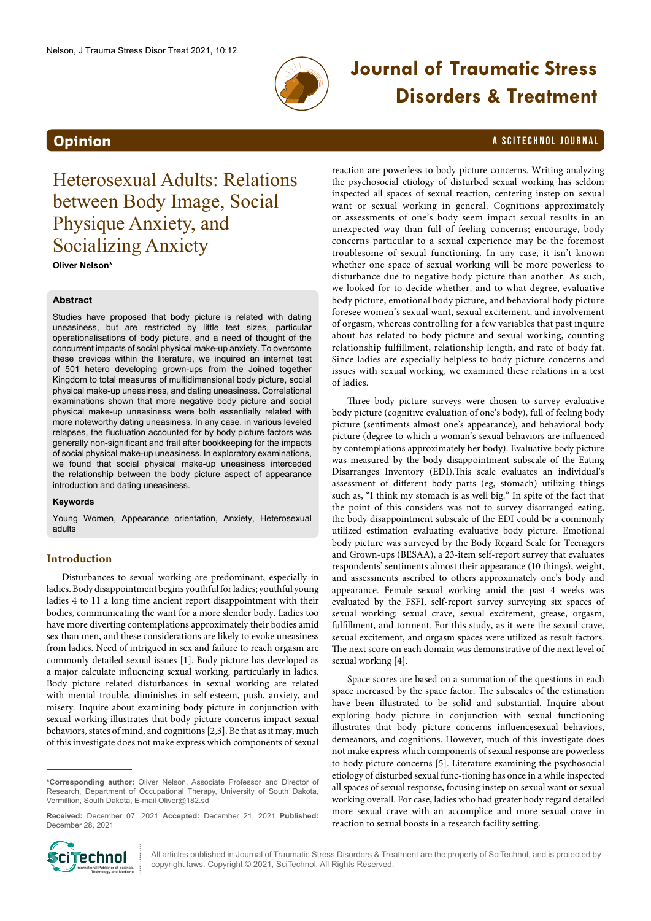

# **Journal of Traumatic Stress Disorders & Treatment**

# **Opinion** a SciteChnol journal and the contract of the contract of the contract of the contract of the contract of the contract of the contract of the contract of the contract of the contract of the contract of the contrac

Heterosexual Adults: Relations between Body Image, Social Physique Anxiety, and Socializing Anxiety

**Oliver Nelson\***

### **Abstract**

Studies have proposed that body picture is related with dating uneasiness, but are restricted by little test sizes, particular operationalisations of body picture, and a need of thought of the concurrent impacts of social physical make-up anxiety. To overcome these crevices within the literature, we inquired an internet test of 501 hetero developing grown-ups from the Joined together Kingdom to total measures of multidimensional body picture, social physical make-up uneasiness, and dating uneasiness. Correlational examinations shown that more negative body picture and social physical make-up uneasiness were both essentially related with more noteworthy dating uneasiness. In any case, in various leveled relapses, the fluctuation accounted for by body picture factors was generally non-significant and frail after bookkeeping for the impacts of social physical make-up uneasiness. In exploratory examinations, we found that social physical make-up uneasiness interceded the relationship between the body picture aspect of appearance introduction and dating uneasiness.

#### **Keywords**

Young Women, Appearance orientation, Anxiety, Heterosexual adults

## **Introduction**

Disturbances to sexual working are predominant, especially in ladies. Body disappointment begins youthful for ladies; youthful young ladies 4 to 11 a long time ancient report disappointment with their bodies, communicating the want for a more slender body. Ladies too have more diverting contemplations approximately their bodies amid sex than men, and these considerations are likely to evoke uneasiness from ladies. Need of intrigued in sex and failure to reach orgasm are commonly detailed sexual issues [1]. Body picture has developed as a major calculate influencing sexual working, particularly in ladies. Body picture related disturbances in sexual working are related with mental trouble, diminishes in self-esteem, push, anxiety, and misery. Inquire about examining body picture in conjunction with sexual working illustrates that body picture concerns impact sexual behaviors, states of mind, and cognitions [2,3]. Be that as it may, much of this investigate does not make express which components of sexual

**Received:** December 07, 2021 **Accepted:** December 21, 2021 **Published:**  December 28, 2021



All articles published in Journal of Traumatic Stress Disorders & Treatment are the property of SciTechnol, and is protected by  $\text{Cip}$   $\text{Cep}$   $\text{Cep}$   $\text{Cep}$   $\text{Cep}$   $\text{Cep}$   $\text{Cep}$  and  $\text{Cep}$  and  $\text{Cep}$  is copyright  $\text{Cep}$  and  $\text{Cep}$   $\text{Cep}$  and  $\text{Cep}$   $\text{Cep}$   $\text{Cep}$   $\text{Cep}$   $\text{Cep}$   $\text{Cep}$   $\text{Cep}$   $\text{Cep}$   $\text{Cep}$   $\text$ 

reaction are powerless to body picture concerns. Writing analyzing the psychosocial etiology of disturbed sexual working has seldom inspected all spaces of sexual reaction, centering instep on sexual want or sexual working in general. Cognitions approximately or assessments of one's body seem impact sexual results in an unexpected way than full of feeling concerns; encourage, body concerns particular to a sexual experience may be the foremost troublesome of sexual functioning. In any case, it isn't known whether one space of sexual working will be more powerless to disturbance due to negative body picture than another. As such, we looked for to decide whether, and to what degree, evaluative body picture, emotional body picture, and behavioral body picture foresee women's sexual want, sexual excitement, and involvement of orgasm, whereas controlling for a few variables that past inquire about has related to body picture and sexual working, counting relationship fulfillment, relationship length, and rate of body fat. Since ladies are especially helpless to body picture concerns and issues with sexual working, we examined these relations in a test of ladies.

Three body picture surveys were chosen to survey evaluative body picture (cognitive evaluation of one's body), full of feeling body picture (sentiments almost one's appearance), and behavioral body picture (degree to which a woman's sexual behaviors are influenced by contemplations approximately her body). Evaluative body picture was measured by the body disappointment subscale of the Eating Disarranges Inventory (EDI).This scale evaluates an individual's assessment of different body parts (eg, stomach) utilizing things such as, "I think my stomach is as well big." In spite of the fact that the point of this considers was not to survey disarranged eating, the body disappointment subscale of the EDI could be a commonly utilized estimation evaluating evaluative body picture. Emotional body picture was surveyed by the Body Regard Scale for Teenagers and Grown-ups (BESAA), a 23-item self-report survey that evaluates respondents' sentiments almost their appearance (10 things), weight, and assessments ascribed to others approximately one's body and appearance. Female sexual working amid the past 4 weeks was evaluated by the FSFI, self-report survey surveying six spaces of sexual working: sexual crave, sexual excitement, grease, orgasm, fulfillment, and torment. For this study, as it were the sexual crave, sexual excitement, and orgasm spaces were utilized as result factors. The next score on each domain was demonstrative of the next level of sexual working [4].

Space scores are based on a summation of the questions in each space increased by the space factor. The subscales of the estimation have been illustrated to be solid and substantial. Inquire about exploring body picture in conjunction with sexual functioning illustrates that body picture concerns influencesexual behaviors, demeanors, and cognitions. However, much of this investigate does not make express which components of sexual response are powerless to body picture concerns [5]. Literature examining the psychosocial etiology of disturbed sexual func-tioning has once in a while inspected all spaces of sexual response, focusing instep on sexual want or sexual working overall. For case, ladies who had greater body regard detailed more sexual crave with an accomplice and more sexual crave in reaction to sexual boosts in a research facility setting.

**<sup>\*</sup>Corresponding author:** Oliver Nelson, Associate Professor and Director of Research, Department of Occupational Therapy, University of South Dakota, Vermillion, South Dakota, E-mail Oliver@182.sd